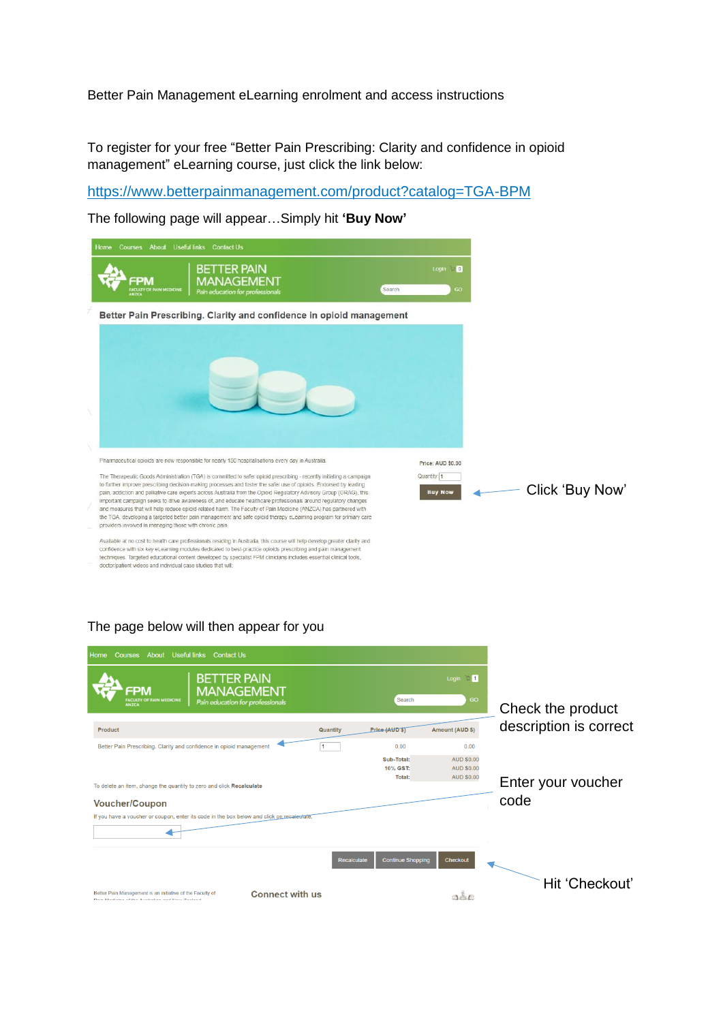Better Pain Management eLearning enrolment and access instructions

To register for your free "Better Pain Prescribing: Clarity and confidence in opioid management" eLearning course, just click the link below:

<https://www.betterpainmanagement.com/product?catalog=TGA-BPM>

The following page will appear…Simply hit **'Buy Now'**

| Home | <b>Courses</b><br>About                                 | Useful links Contact Us                                                                                                                                                                                                                                                                                                                                                                                                                                                                                                                                                                                                                                                                                                   |  |        |                               |  |                 |
|------|---------------------------------------------------------|---------------------------------------------------------------------------------------------------------------------------------------------------------------------------------------------------------------------------------------------------------------------------------------------------------------------------------------------------------------------------------------------------------------------------------------------------------------------------------------------------------------------------------------------------------------------------------------------------------------------------------------------------------------------------------------------------------------------------|--|--------|-------------------------------|--|-----------------|
|      | FPM<br><b>ACULTY OF PAIN MEDICINI</b><br><b>ANZCA</b>   | <b>BETTER PAIN</b><br>MANAGEMENT<br>Pain education for professionals                                                                                                                                                                                                                                                                                                                                                                                                                                                                                                                                                                                                                                                      |  | Search | Login D<br>GO                 |  |                 |
|      |                                                         | Better Pain Prescribing. Clarity and confidence in opioid management                                                                                                                                                                                                                                                                                                                                                                                                                                                                                                                                                                                                                                                      |  |        |                               |  |                 |
|      |                                                         |                                                                                                                                                                                                                                                                                                                                                                                                                                                                                                                                                                                                                                                                                                                           |  |        |                               |  |                 |
|      |                                                         | Pharmaceutical opioids are now responsible for nearly 150 hospitalisations every day in Australia.                                                                                                                                                                                                                                                                                                                                                                                                                                                                                                                                                                                                                        |  |        | Price: AUD \$0.00             |  |                 |
|      | providers involved in managing those with chronic pain. | The Therapeutic Goods Administration (TGA) is committed to safer opioid prescribing - recently initiating a campaign<br>to further improve prescribing decision-making processes and foster the safer use of opioids. Endorsed by leading<br>pain, addiction and palliative care experts across Australia from the Opioid Regulatory Advisory Group (ORAG), this<br>important campaign seeks to drive awareness of, and educate healthcare professionals around regulatory changes<br>and measures that will help reduce opioid-related harm. The Faculty of Pain Medicine (ANZCA) has partnered with<br>the TGA, developing a targeted better pain management and safe opioid therapy eLearning program for primary care |  |        | Quantity: 1<br><b>Buy Now</b> |  | Click 'Buy Now' |
|      |                                                         | Available at no cost to health care professionals residing in Australia, this course will help develop greater clarity and                                                                                                                                                                                                                                                                                                                                                                                                                                                                                                                                                                                                |  |        |                               |  |                 |

confidence with six key eLearning modules dedicated to best-practice opioids prescribing and pain management techniques. Targeted educational content developed by specialist FPM clinicians includes essential clinical tools,<br>doctor/patient videos and individual case studies that will:

## The page below will then appear for you

| <b>Useful links</b><br><b>Contact Us</b><br><b>Courses</b><br>About<br>Home                                                            |             |                                  |                                                             |                        |
|----------------------------------------------------------------------------------------------------------------------------------------|-------------|----------------------------------|-------------------------------------------------------------|------------------------|
| <b>BETTER PAIN</b><br>FPM<br><b>MANAGEMENT</b><br><b>ACULTY OF PAIN MEDICINE</b><br>Pain education for professionals<br><b>ANZCA</b>   |             | Search                           | Login $\mathbb{Q}$ 1<br>GO                                  | Check the product      |
| Product                                                                                                                                | Quantity    | Price (AUD ST                    | Amount (AUD \$)                                             | description is correct |
| Better Pain Prescribing. Clarity and confidence in opioid management                                                                   | 1           | 0.00                             | 0.00                                                        |                        |
| To delete an item, change the quantity to zero and click Recalculate                                                                   |             | Sub-Total:<br>10% GST:<br>Total: | <b>AUD \$0.00</b><br><b>AUD \$0.00</b><br><b>AUD \$0.00</b> | Enter your voucher     |
| <b>Voucher/Coupon</b>                                                                                                                  |             |                                  |                                                             | code                   |
| If you have a voucher or coupon, enter its code in the box below and click on recalculate.                                             |             |                                  |                                                             |                        |
|                                                                                                                                        | Recalculate | <b>Continue Shopping</b>         | Checkout                                                    |                        |
| <b>Connect with us</b><br>Better Pain Management is an initiative of the Faculty of<br>Doin Medicine of the Australian and New Zeolond |             |                                  |                                                             | Hit 'Checkout'         |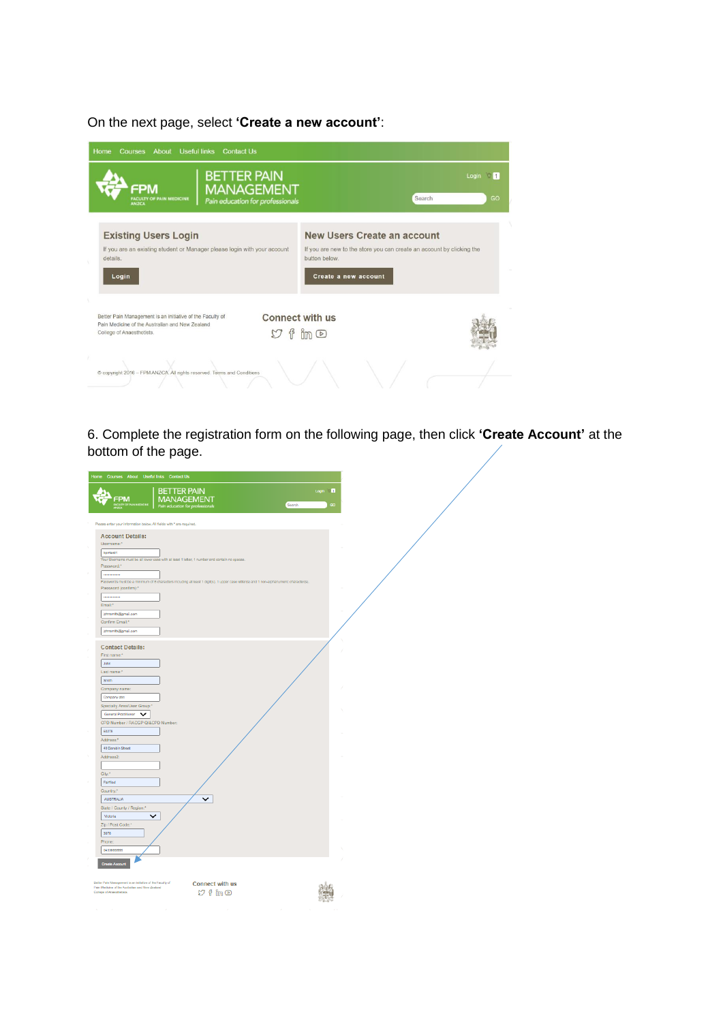On the next page, select **'Create a new account'**:

| About Useful links<br>Courses<br><b>Contact Us</b><br>Home                                                                                |                                                                                                                                               |
|-------------------------------------------------------------------------------------------------------------------------------------------|-----------------------------------------------------------------------------------------------------------------------------------------------|
| <b>BETTER PAIN</b><br><b>MANAGEMENT</b><br>FPM<br><b>FACULTY OF PAIN MEDICINE</b><br>Pain education for professionals<br><b>ANZCA</b>     | $\sqrt{2}$ 1<br>Login<br>Search<br>GO                                                                                                         |
| <b>Existing Users Login</b><br>If you are an existing student or Manager please login with your account<br>details.<br>Login              | New Users Create an account<br>If you are new to the store you can create an account by clicking the<br>button below.<br>Create a new account |
| Better Pain Management is an initiative of the Faculty of<br>Pain Medicine of the Australian and New Zealand<br>College of Anaesthetists. | <b>Connect with us</b><br>$\frac{1}{1}$ im $\circledcirc$                                                                                     |
| C copyright 2016 - FPM ANZCA. All rights reserved. Terms and Conditions                                                                   |                                                                                                                                               |

6. Complete the registration form on the following page, then click **'Create Account'** at the bottom of the page.

| Home Courses About Useful links Contact Us                                  |                                                                                                                                        |                          |
|-----------------------------------------------------------------------------|----------------------------------------------------------------------------------------------------------------------------------------|--------------------------|
| FPM                                                                         | <b>BETTER PAIN</b><br>MANAGEMENT                                                                                                       | Login 17<br>Search<br>GO |
| Please enter your information below. All fields with " are required.        |                                                                                                                                        |                          |
| <b>Account Details:</b>                                                     |                                                                                                                                        |                          |
| Username:"                                                                  |                                                                                                                                        |                          |
| bpmtest1                                                                    |                                                                                                                                        |                          |
| Password:*                                                                  | Your Usemame must be all lower case with at least 1 letter, 1 number and contain no spaces.                                            |                          |
|                                                                             |                                                                                                                                        |                          |
|                                                                             | Passwords must be a minimum of 8 characters including at least 1 digit(s), 1 upper case letter(s) and 1 non-alphanumeric character(s). |                          |
| Password (confirm):*                                                        |                                                                                                                                        |                          |
|                                                                             |                                                                                                                                        |                          |
| Email:*                                                                     |                                                                                                                                        |                          |
| johnsmth@gmail.com<br>Confirm Email:*                                       |                                                                                                                                        |                          |
| johnsmith@gmail.com                                                         |                                                                                                                                        |                          |
|                                                                             |                                                                                                                                        |                          |
| <b>Contact Details:</b>                                                     |                                                                                                                                        |                          |
| First name:*                                                                |                                                                                                                                        |                          |
| John                                                                        |                                                                                                                                        |                          |
| Last name:"                                                                 |                                                                                                                                        |                          |
| Smith                                                                       |                                                                                                                                        |                          |
| Company name:                                                               |                                                                                                                                        |                          |
| Company abc                                                                 |                                                                                                                                        |                          |
| Specialty Area/User Group:*<br>General Practitioner V                       |                                                                                                                                        |                          |
| CPD Number / RACGP QI&CPD Number:                                           |                                                                                                                                        |                          |
| 60278                                                                       |                                                                                                                                        |                          |
| Address:*                                                                   |                                                                                                                                        |                          |
| 40 Darobin Street                                                           |                                                                                                                                        |                          |
| Address2:                                                                   |                                                                                                                                        |                          |
|                                                                             |                                                                                                                                        |                          |
| City:"                                                                      |                                                                                                                                        |                          |
| Fairfied                                                                    |                                                                                                                                        |                          |
| Country:*<br><b>AUSTRALIA</b>                                               |                                                                                                                                        |                          |
| State / County / Region:*                                                   |                                                                                                                                        |                          |
| Motoria<br>$\check{ }$                                                      |                                                                                                                                        |                          |
| Zip / Past Code:*                                                           |                                                                                                                                        |                          |
| 3078                                                                        |                                                                                                                                        |                          |
| Phone:                                                                      |                                                                                                                                        |                          |
| 0433666888                                                                  |                                                                                                                                        |                          |
| ate Accoun                                                                  |                                                                                                                                        |                          |
|                                                                             |                                                                                                                                        |                          |
| Beller Pain Management is an initiative of the Faculty of                   |                                                                                                                                        |                          |
| Pain Medicine of the Australian and New Zealand<br>College of Arresthetels. | <b>Connect with us</b>                                                                                                                 |                          |
|                                                                             | $\mathcal{O}$ f in $\mathcal{D}$                                                                                                       |                          |
|                                                                             |                                                                                                                                        |                          |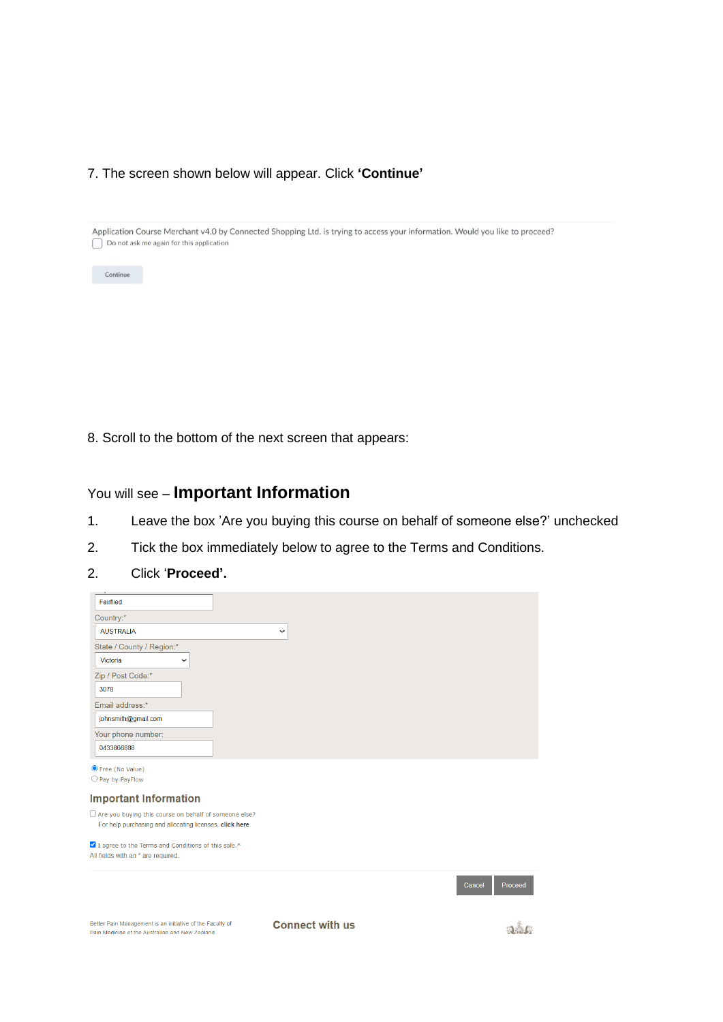## 7. The screen shown below will appear. Click **'Continue'**

Application Course Merchant v4.0 by Connected Shopping Ltd. is trying to access your information. Would you like to proceed?  $\bigcap$  Do not ask me again for this application



8. Scroll to the bottom of the next screen that appears:

## You will see – **Important Information**

- 1. Leave the box 'Are you buying this course on behalf of someone else?' unchecked
- 2. Tick the box immediately below to agree to the Terms and Conditions.
- 2. Click '**Proceed'.**

| Fairflied                                                                                                    |                        |                   |
|--------------------------------------------------------------------------------------------------------------|------------------------|-------------------|
| Country:*                                                                                                    |                        |                   |
| <b>AUSTRALIA</b>                                                                                             | $\check{ }$            |                   |
| State / County / Region:*                                                                                    |                        |                   |
| Victoria<br>$\check{ }$                                                                                      |                        |                   |
| Zip / Post Code:*                                                                                            |                        |                   |
| 3078                                                                                                         |                        |                   |
| Email address:*                                                                                              |                        |                   |
| johnsmith@gmail.com                                                                                          |                        |                   |
| Your phone number:                                                                                           |                        |                   |
| 0433666888                                                                                                   |                        |                   |
| ● Free (No Value)                                                                                            |                        |                   |
| $\bigcirc$ Pay by PayFlow                                                                                    |                        |                   |
| <b>Important Information</b>                                                                                 |                        |                   |
| $\Box$ Are you buying this course on behalf of someone else?                                                 |                        |                   |
| For help purchasing and allocating licenses, click here.                                                     |                        |                   |
| I agree to the Terms and Conditions of this sale.*                                                           |                        |                   |
| All fields with an * are required.                                                                           |                        |                   |
|                                                                                                              |                        | Cancel<br>Proceed |
|                                                                                                              |                        |                   |
|                                                                                                              |                        |                   |
| Better Pain Management is an initiative of the Faculty of<br>Pain Medicine of the Australian and New Zealand | <b>Connect with us</b> |                   |